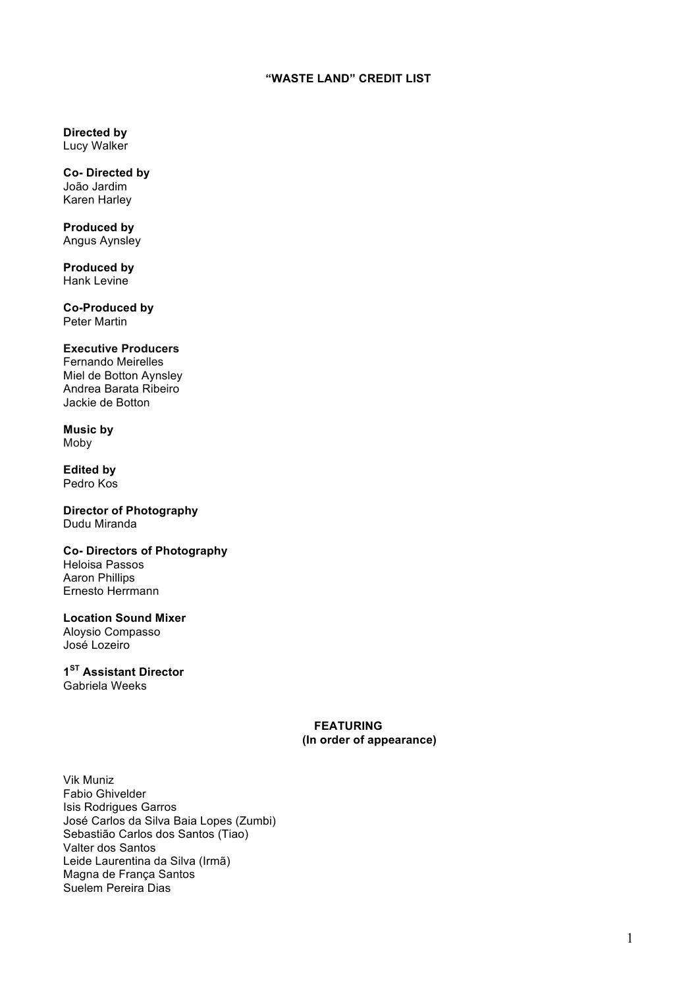# **"WASTE LAND" CREDIT LIST**

**Directed by** Lucy Walker

**Co- Directed by** João Jardim Karen Harley

**Produced by** Angus Aynsley

**Produced by** Hank Levine

**Co-Produced by** Peter Martin

# **Executive Producers**

Fernando Meirelles Miel de Botton Aynsley Andrea Barata Ribeiro Jackie de Botton

**Music by** Moby

**Edited by** Pedro Kos

#### **Director of Photography** Dudu Miranda

#### **Co- Directors of Photography** Heloisa Passos

Aaron Phillips Ernesto Herrmann

#### **Location Sound Mixer** Aloysio Compasso

José Lozeiro

#### **1ST Assistant Director** Gabriela Weeks

## **FEATURING (In order of appearance)**

Vik Muniz Fabio Ghivelder Isis Rodrigues Garros José Carlos da Silva Baia Lopes (Zumbi) Sebastião Carlos dos Santos (Tiao) Valter dos Santos Leide Laurentina da Silva (Irmã) Magna de França Santos Suelem Pereira Dias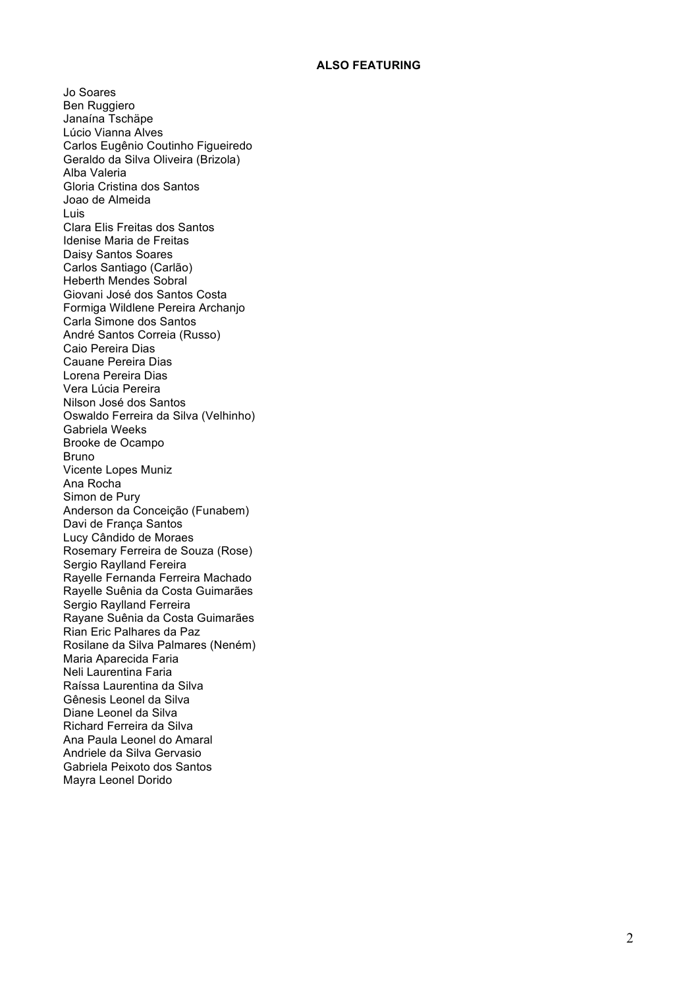#### **ALSO FEATURING**

Jo Soares Ben Ruggiero Janaína Tschäpe Lúcio Vianna Alves Carlos Eugênio Coutinho Figueiredo Geraldo da Silva Oliveira (Brizola) Alba Valeria Gloria Cristina dos Santos Joao de Almeida Luis Clara Elis Freitas dos Santos Idenise Maria de Freitas Daisy Santos Soares Carlos Santiago (Carlão) Heberth Mendes Sobral Giovani José dos Santos Costa Formiga Wildlene Pereira Archanjo Carla Simone dos Santos André Santos Correia (Russo) Caio Pereira Dias Cauane Pereira Dias Lorena Pereira Dias Vera Lúcia Pereira Nilson José dos Santos Oswaldo Ferreira da Silva (Velhinho) Gabriela Weeks Brooke de Ocampo Bruno Vicente Lopes Muniz Ana Rocha Simon de Pury Anderson da Conceição (Funabem) Davi de França Santos Lucy Cândido de Moraes Rosemary Ferreira de Souza (Rose) Sergio Raylland Fereira Rayelle Fernanda Ferreira Machado Rayelle Suênia da Costa Guimarães Sergio Raylland Ferreira Rayane Suênia da Costa Guimarães Rian Eric Palhares da Paz Rosilane da Silva Palmares (Neném) Maria Aparecida Faria Neli Laurentina Faria Raíssa Laurentina da Silva Gênesis Leonel da Silva Diane Leonel da Silva Richard Ferreira da Silva Ana Paula Leonel do Amaral Andriele da Silva Gervasio Gabriela Peixoto dos Santos Mayra Leonel Dorido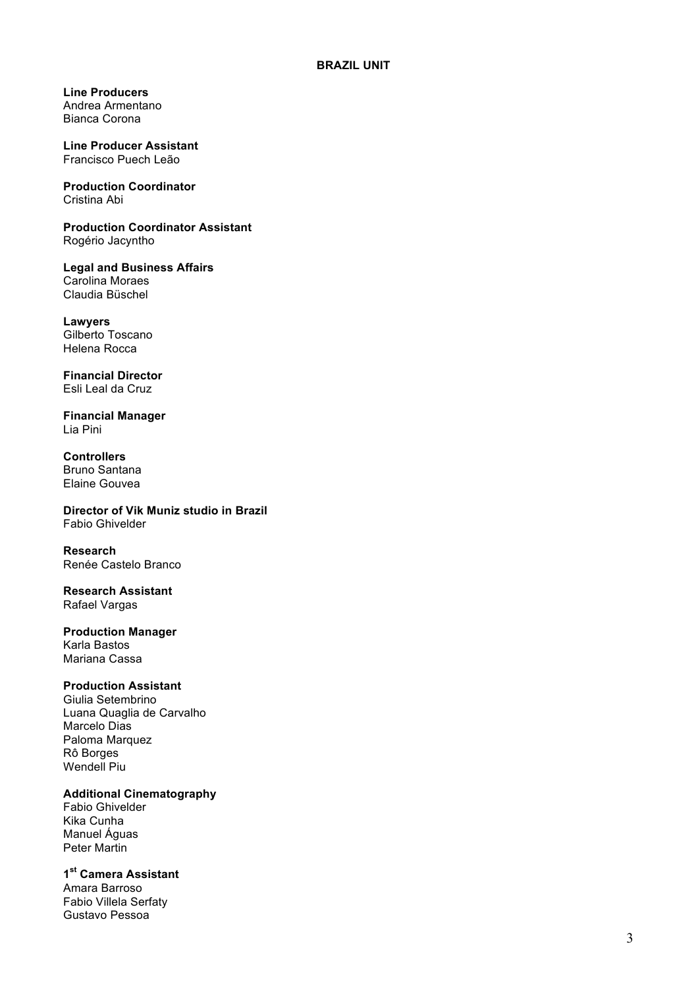**Line Producers**  Andrea Armentano Bianca Corona

**Line Producer Assistant**  Francisco Puech Leão

**Production Coordinator**  Cristina Abi

**Production Coordinator Assistant**  Rogério Jacyntho

**Legal and Business Affairs** Carolina Moraes Claudia Büschel

**Lawyers** Gilberto Toscano Helena Rocca

**Financial Director**  Esli Leal da Cruz

**Financial Manager**  Lia Pini

**Controllers** Bruno Santana Elaine Gouvea

**Director of Vik Muniz studio in Brazil** Fabio Ghivelder

**Research** Renée Castelo Branco

**Research Assistant** Rafael Vargas

**Production Manager** Karla Bastos Mariana Cassa

#### **Production Assistant**

Giulia Setembrino Luana Quaglia de Carvalho Marcelo Dias Paloma Marquez Rô Borges Wendell Piu

### **Additional Cinematography**

Fabio Ghivelder Kika Cunha Manuel Águas Peter Martin

**1st Camera Assistant**

Amara Barroso Fabio Villela Serfaty Gustavo Pessoa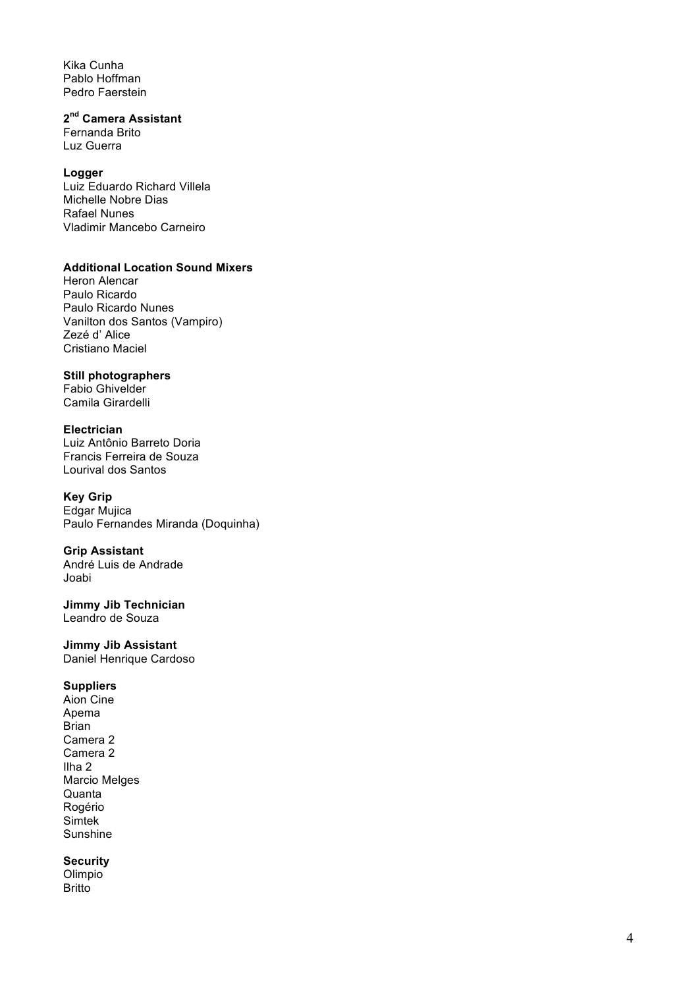Kika Cunha Pablo Hoffman Pedro Faerstein

# **2nd Camera Assistant**

Fernanda Brito Luz Guerra

### **Logger**

Luiz Eduardo Richard Villela Michelle Nobre Dias Rafael Nunes Vladimir Mancebo Carneiro

#### **Additional Location Sound Mixers**

Heron Alencar Paulo Ricardo Paulo Ricardo Nunes Vanilton dos Santos (Vampiro) Zezé d' Alice Cristiano Maciel

## **Still photographers**

Fabio Ghivelder Camila Girardelli

### **Electrician**

Luiz Antônio Barreto Doria Francis Ferreira de Souza Lourival dos Santos

### **Key Grip**

Edgar Mujica Paulo Fernandes Miranda (Doquinha)

# **Grip Assistant**

André Luis de Andrade Joabi

**Jimmy Jib Technician**  Leandro de Souza

#### **Jimmy Jib Assistant** Daniel Henrique Cardoso

### **Suppliers**

Aion Cine Apema Brian Camera 2 Camera 2 Ilha 2 Marcio Melges **Quanta** Rogério Simtek Sunshine

# **Security**

Olimpio Britto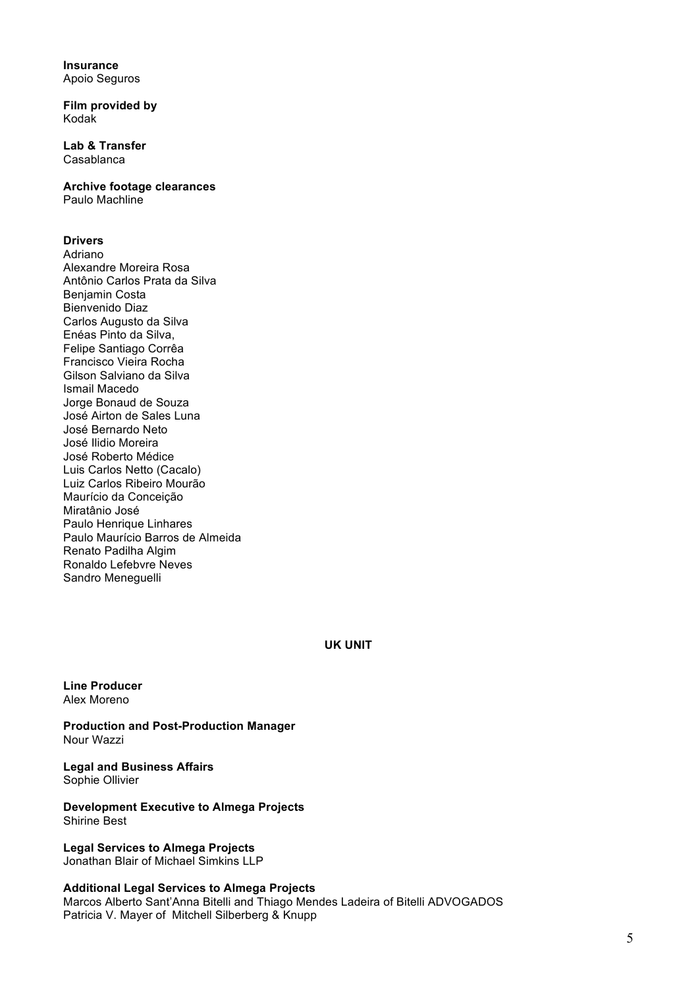**Insurance** Apoio Seguros

**Film provided by** Kodak

**Lab & Transfer** Casablanca

**Archive footage clearances** Paulo Machline

### **Drivers**

Adriano Alexandre Moreira Rosa Antônio Carlos Prata da Silva Benjamin Costa Bienvenido Diaz Carlos Augusto da Silva Enéas Pinto da Silva, Felipe Santiago Corrêa Francisco Vieira Rocha Gilson Salviano da Silva Ismail Macedo Jorge Bonaud de Souza José Airton de Sales Luna José Bernardo Neto José Ilidio Moreira José Roberto Médice Luis Carlos Netto (Cacalo) Luiz Carlos Ribeiro Mourão Maurício da Conceição Miratânio José Paulo Henrique Linhares Paulo Maurício Barros de Almeida Renato Padilha Algim Ronaldo Lefebvre Neves Sandro Meneguelli

**UK UNIT**

**Line Producer** Alex Moreno

**Production and Post-Production Manager** Nour Wazzi

**Legal and Business Affairs**  Sophie Ollivier

**Development Executive to Almega Projects**  Shirine Best

**Legal Services to Almega Projects** Jonathan Blair of Michael Simkins LLP

**Additional Legal Services to Almega Projects** Marcos Alberto Sant'Anna Bitelli and Thiago Mendes Ladeira of Bitelli ADVOGADOS Patricia V. Mayer of Mitchell Silberberg & Knupp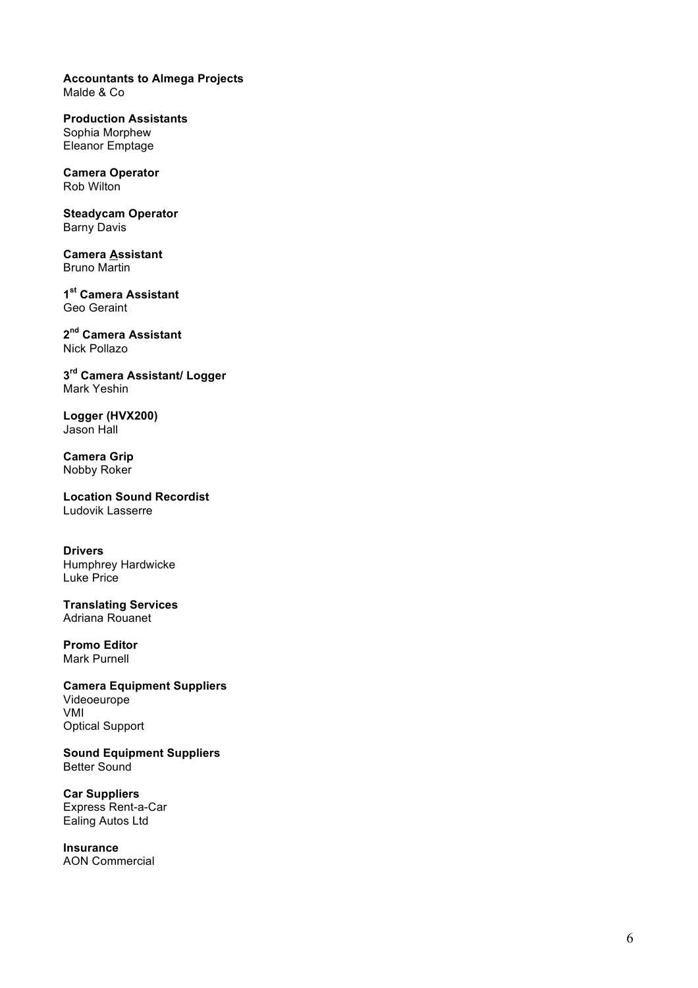**Accountants to Almega Projects** Malde & Co

**Production Assistants** Sophia Morphew Eleanor Emptage

**Camera Operator** Rob Wilton

**Steadycam Operator** Barny Davis

**Camera Assistant** Bruno Martin

**1st Camera Assistant**  Geo Geraint

**2nd Camera Assistant** Nick Pollazo

**3rd Camera Assistant/ Logger** Mark Yeshin

**Logger (HVX200)** Jason Hall

**Camera Grip** Nobby Roker

**Location Sound Recordist** Ludovik Lasserre

**Drivers** Humphrey Hardwicke Luke Price

**Translating Services** Adriana Rouanet

**Promo Editor** Mark Purnell

**Camera Equipment Suppliers**  Videoeurope VMI Optical Support

**Sound Equipment Suppliers** Better Sound

**Car Suppliers** Express Rent - a -Car Ealing Autos Ltd

**Insurance** AON Commercial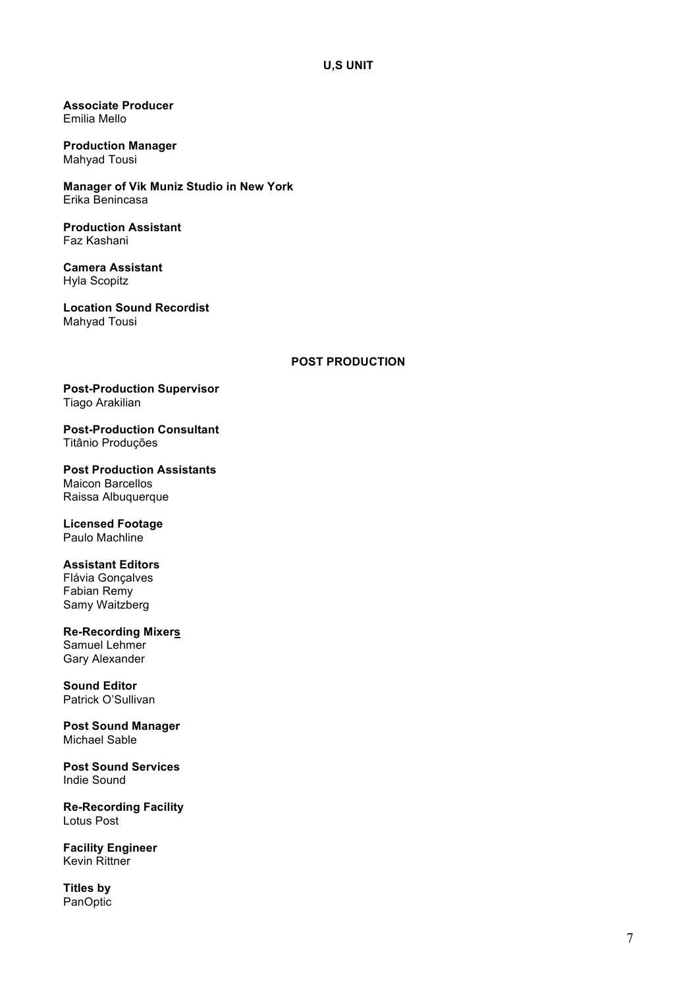**Associate Producer**  Emilia Mello

**Production Manager**  Mahyad Tousi

**Manager of Vik Muniz Studio in New York** Erika Benincasa

**Production Assistant** Faz Kashani

**Camera Assistant** Hyla Scopitz

**Location Sound Recordist** Mahyad Tousi

#### **POST PRODUCTION**

**Post-Production Supervisor** Tiago Arakilian

**Post-Production Consultant** Titânio Produções

**Post Production Assistants**  Maicon Barcellos Raissa Albuquerque

**Licensed Footage** Paulo Machline

### **Assistant Editors**

Flávia Gonçalves Fabian Remy Samy Waitzberg

**Re-Recording Mixers** Samuel Lehmer

Gary Alexander

**Sound Editor** Patrick O'Sullivan

**Post Sound Manager** Michael Sable

**Post Sound Services** Indie Sound

**Re-Recording Facility** Lotus Post

**Facility Engineer** Kevin Rittner

**Titles by**  PanOptic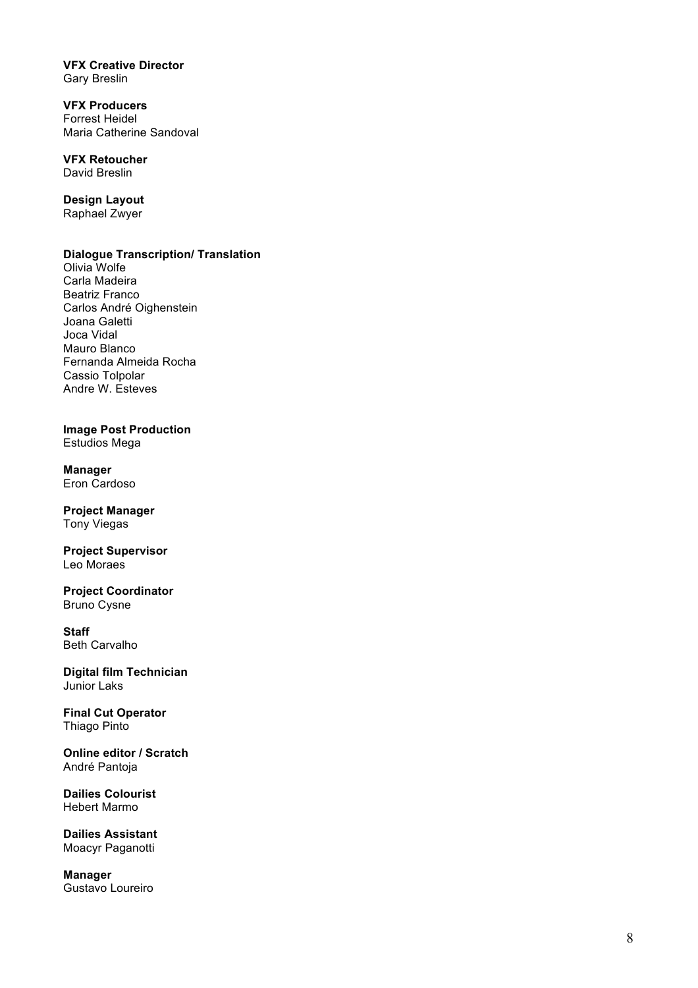**VFX Creative Director** Gary Breslin

**VFX Producers** Forrest Heidel Maria Catherine Sandoval

**VFX Retoucher** David Breslin

**Design Layout** Raphael Zwyer

### **Dialogue Transcription/ Translation**

Olivia Wolfe Carla Madeira Beatriz Franco Carlos André Oighenstein Joana Galetti Joca Vidal Mauro Blanco Fernanda Almeida Rocha Cassio Tolpolar Andre W. Esteves

**Image Post Production** Estudios Mega

**Manager** Eron Cardoso

**Project Manager** Tony Viegas

**Project Supervisor** Leo Moraes

**Project Coordinator**  Bruno Cysne

**Staff** Beth Carvalho

**Digital film Technician** Junior Laks

**Final Cut Operator** Thiago Pinto

**Online editor / Scratch** André Pantoja

**Dailies Colourist** Hebert Marmo

**Dailies Assistant** Moacyr Paganotti

**Manager**  Gustavo Loureiro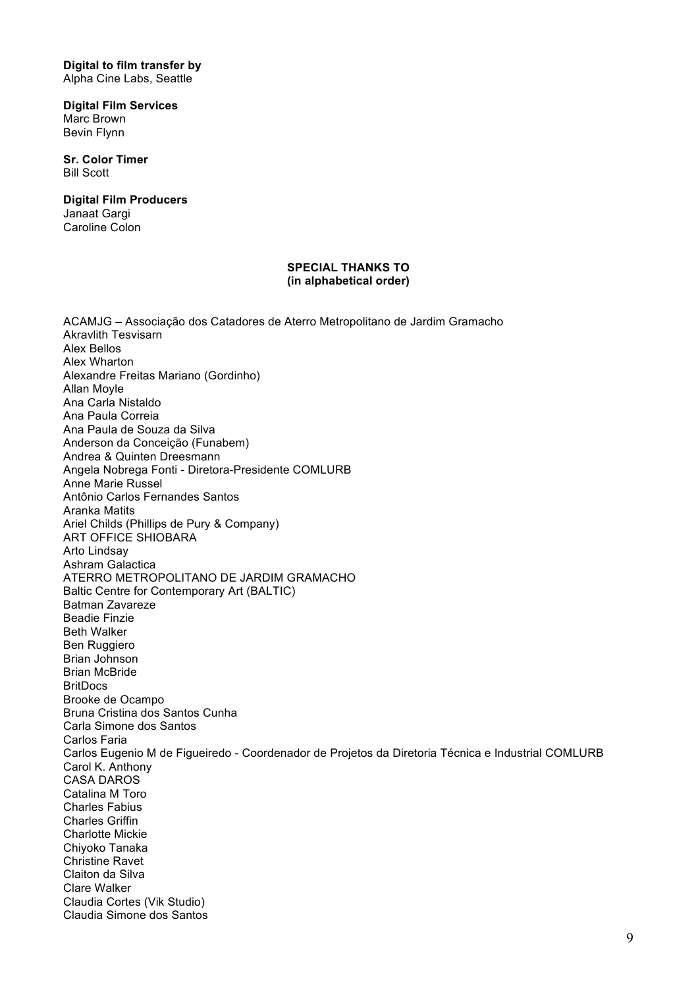**Digital to film transfer by**  Alpha Cine Labs, Seattle

**Digital Film Services** Marc Brown Bevin Flynn

**Sr. Color Timer** Bill Scott

**Digital Film Producers** Janaat Gargi Caroline Colon

#### **SPECIAL THANKS TO (in alphabetical order)**

ACAMJG – Associação dos Catadores de Aterro Metropolitano de Jardim Gramacho Akravlith Tesvisarn Alex Bellos Alex Wharton Alexandre Freitas Mariano (Gordinho) Allan Moyle Ana Carla Nistaldo Ana Paula Correia Ana Paula de Souza da Silva Anderson da Conceição (Funabem) Andrea & Quinten Dreesmann Angela Nobrega Fonti - Diretora-Presidente COMLURB Anne Marie Russel Antônio Carlos Fernandes Santos Aranka Matits Ariel Childs (Phillips de Pury & Company) ART OFFICE SHIOBARA Arto Lindsay Ashram Galactica ATERRO METROPOLITANO DE JARDIM GRAMACHO Baltic Centre for Contemporary Art (BALTIC) Batman Zavareze Beadie Finzie Beth Walker Ben Ruggiero Brian Johnson Brian McBride **BritDocs** Brooke de Ocampo Bruna Cristina dos Santos Cunha Carla Simone dos Santos Carlos Faria Carlos Eugenio M de Figueiredo - Coordenador de Projetos da Diretoria Técnica e Industrial COMLURB Carol K. Anthony CASA DAROS Catalina M Toro Charles Fabius Charles Griffin Charlotte Mickie Chiyoko Tanaka Christine Ravet Claiton da Silva Clare Walker Claudia Cortes (Vik Studio) Claudia Simone dos Santos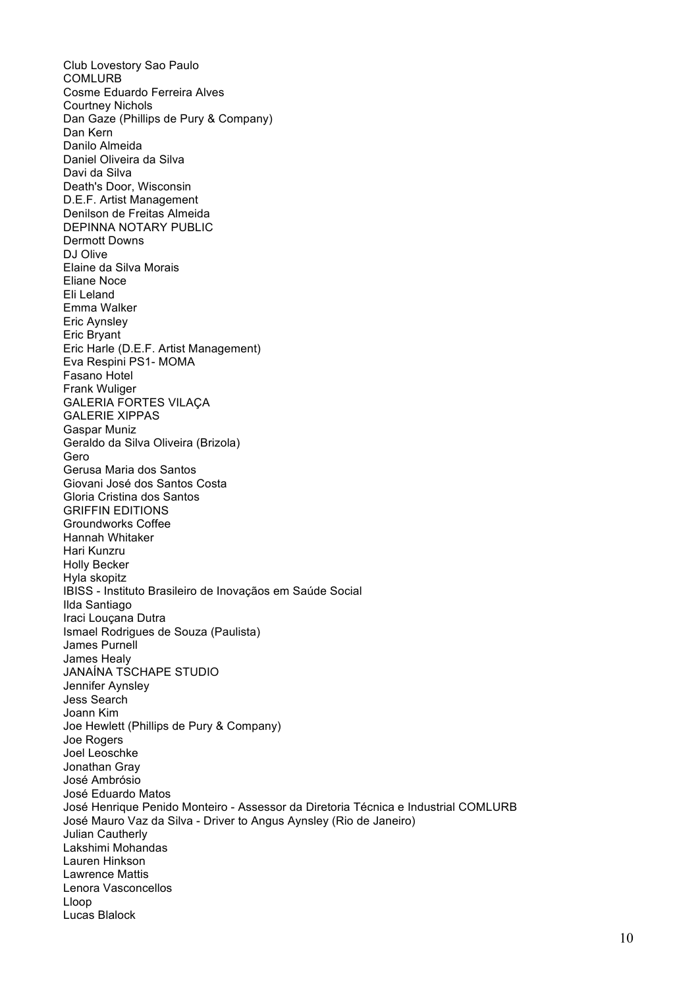Club Lovestory Sao Paulo **COMLURB** Cosme Eduardo Ferreira Alves Courtney Nichols Dan Gaze (Phillips de Pury & Company) Dan Kern Danilo Almeida Daniel Oliveira da Silva Davi da Silva Death's Door, Wisconsin D.E.F. Artist Management Denilson de Freitas Almeida DEPINNA NOTARY PUBLIC Dermott Downs DJ Olive Elaine da Silva Morais Eliane Noce Eli Leland Emma Walker Eric Aynsley Eric Bryant Eric Harle (D.E.F. Artist Management) Eva Respini PS1- MOMA Fasano Hotel Frank Wuliger GALERIA FORTES VILAÇA GALERIE XIPPAS Gaspar Muniz Geraldo da Silva Oliveira (Brizola) Gero Gerusa Maria dos Santos Giovani José dos Santos Costa Gloria Cristina dos Santos GRIFFIN EDITIONS Groundworks Coffee Hannah Whitaker Hari Kunzru Holly Becker Hyla skopitz IBISS - Instituto Brasileiro de Inovaçãos em Saúde Social Ilda Santiago Iraci Louçana Dutra Ismael Rodrigues de Souza (Paulista) James Purnell James Healy JANAÍNA TSCHAPE STUDIO Jennifer Aynsley Jess Search Joann Kim Joe Hewlett (Phillips de Pury & Company) Joe Rogers Joel Leoschke Jonathan Gray José Ambrósio José Eduardo Matos José Henrique Penido Monteiro - Assessor da Diretoria Técnica e Industrial COMLURB José Mauro Vaz da Silva - Driver to Angus Aynsley (Rio de Janeiro) Julian Cautherly Lakshimi Mohandas Lauren Hinkson Lawrence Mattis Lenora Vasconcellos Lloop Lucas Blalock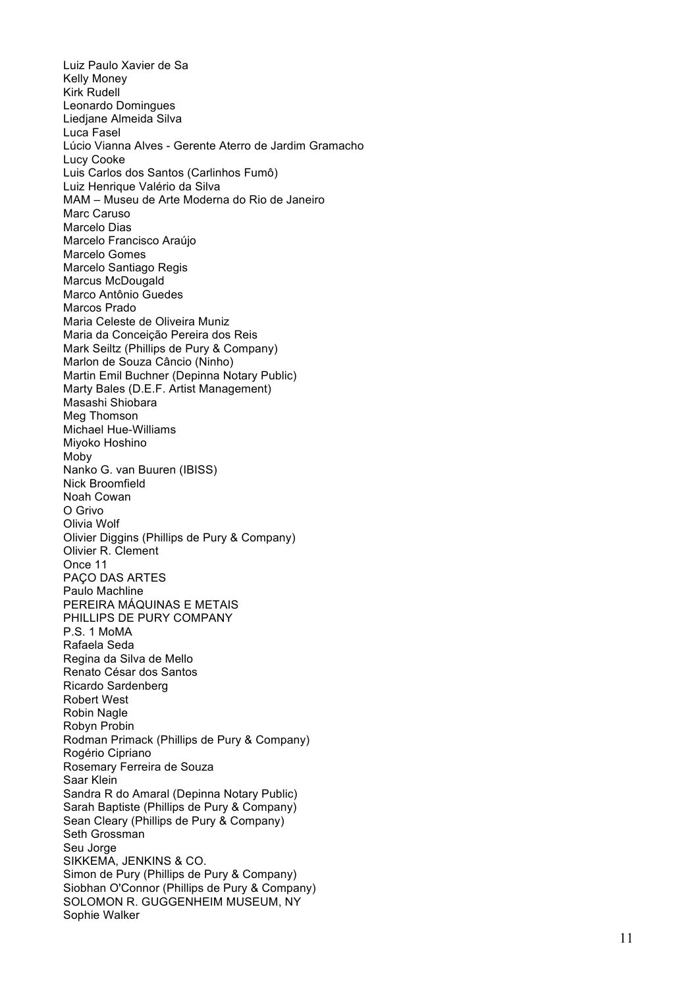Luiz Paulo Xavier de Sa Kelly Money Kirk Rudell Leonardo Domingues Liedjane Almeida Silva Luca Fasel Lúcio Vianna Alves - Gerente Aterro de Jardim Gramacho Lucy Cooke Luis Carlos dos Santos (Carlinhos Fumô) Luiz Henrique Valério da Silva MAM – Museu de Arte Moderna do Rio de Janeiro Marc Caruso Marcelo Dias Marcelo Francisco Araújo Marcelo Gomes Marcelo Santiago Regis Marcus McDougald Marco Antônio Guedes Marcos Prado Maria Celeste de Oliveira Muniz Maria da Conceição Pereira dos Reis Mark Seiltz (Phillips de Pury & Company) Marlon de Souza Câncio (Ninho) Martin Emil Buchner (Depinna Notary Public) Marty Bales (D.E.F. Artist Management) Masashi Shiobara Meg Thomson Michael Hue -Williams Miyoko Hoshino Moby Nanko G. van Buuren (IBISS) Nick Broomfield Noah Cowan O Grivo Olivia Wolf Olivier Diggins (Phillips de Pury & Company) Olivier R. Clement Once 11 PACO DAS ARTES Paulo Machline PEREIRA MÁQUINAS E METAIS PHILLIPS DE PURY COMPANY P.S. 1 MoMA Rafaela Seda Regina da Silva de Mello Renato César dos Santos Ricardo Sardenberg Robert West Robin Nagle Robyn Probin Rodman Primack (Phillips de Pury & Company) Rogério Cipriano Rosemary Ferreira de Souza Saar Klein Sandra R do Amaral (Depinna Notary Public) Sarah Baptiste (Phillips de Pury & Company) Sean Cleary (Phillips de Pury & Company) Seth Grossman Seu Jorge SIKKEMA, JENKINS & CO. Simon de Pury (Phillips de Pury & Company) Siobhan O'Connor (Phillips de Pury & Company) SOLOMON R. GUGGENHEIM MUSEUM, NY Sophie Walker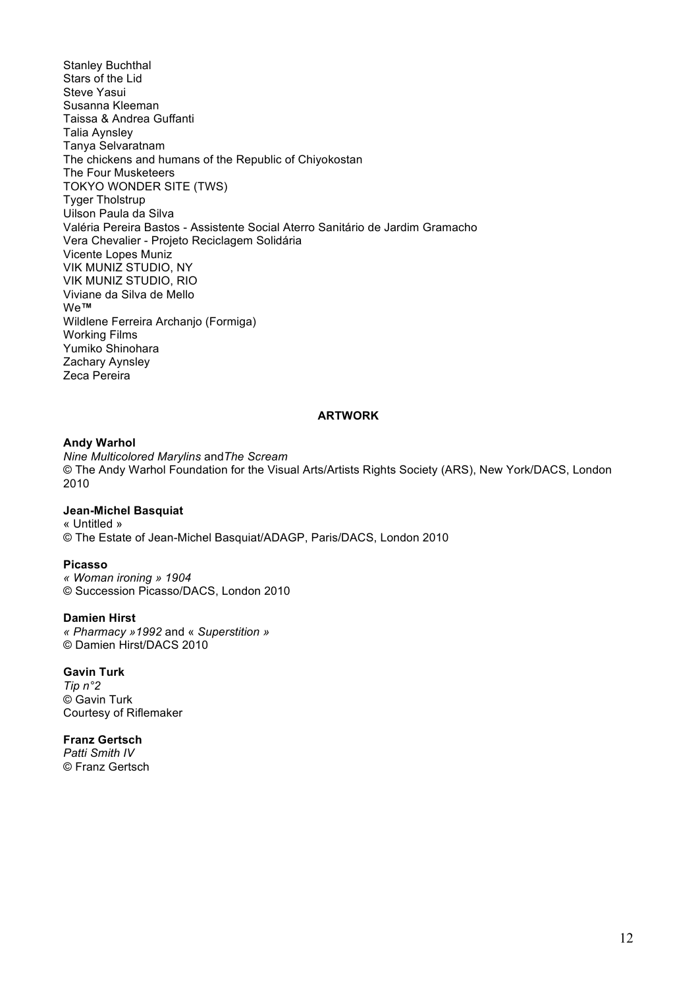Stanley Buchthal Stars of the Lid Steve Yasui Susanna Kleeman Taissa & Andrea Guffanti Talia Aynsley Tanya Selvaratnam The chickens and humans of the Republic of Chiyokostan The Four Musketeers TOKYO WONDER SITE (TWS) Tyger Tholstrup Uilson Paula da Silva Valéria Pereira Bastos - Assistente Social Aterro Sanitário de Jardim Gramacho Vera Chevalier - Projeto Reciclagem Solidária Vicente Lopes Muniz VIK MUNIZ STUDIO, NY VIK MUNIZ STUDIO, RIO Viviane da Silva de Mello We**™** Wildlene Ferreira Archanjo (Formiga) Working Films Yumiko Shinohara Zachary Aynsley Zeca Pereira

#### **ARTWORK**

#### **Andy Warhol**

*Nine Multicolored Marylins* and*The Scream* © The Andy Warhol Foundation for the Visual Arts/Artists Rights Society (ARS), New York/DACS, London 2010

### **Jean-Michel Basquiat**

« Untitled » © The Estate of Jean-Michel Basquiat/ADAGP, Paris/DACS, London 2010

#### **Picasso**

*« Woman ironing » 1904* © Succession Picasso/DACS, London 2010

#### **Damien Hirst**

*« Pharmacy »1992* and « *Superstition »* © Damien Hirst/DACS 2010

#### **Gavin Turk**

*Tip n°2* © Gavin Turk Courtesy of Riflemaker

### **Franz Gertsch**

*Patti Smith IV* © Franz Gertsch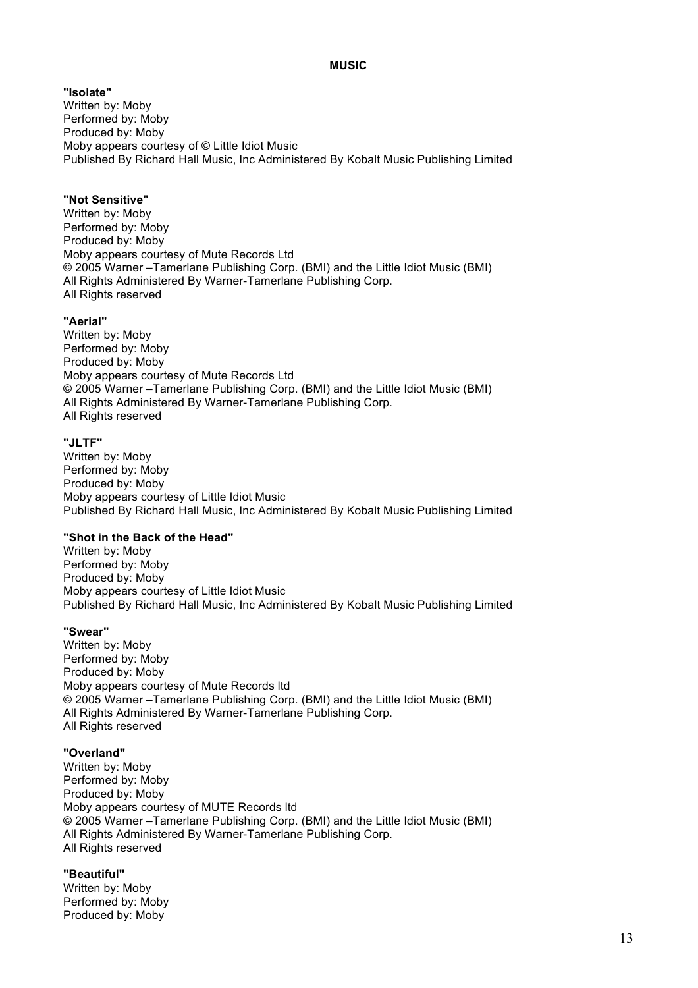### **MUSIC**

**"Isolate"** Written by: Moby Performed by: Moby Produced by: Moby Moby appears courtesy of © Little Idiot Music Published By Richard Hall Music, Inc Administered By Kobalt Music Publishing Limited

### **"Not Sensitive"**

Written by: Moby Performed by: Moby Produced by: Moby Moby appears courtesy of Mute Records Ltd © 2005 Warner –Tamerlane Publishing Corp. (BMI) and the Little Idiot Music (BMI) All Rights Administered By Warner-Tamerlane Publishing Corp. All Rights reserved

### **"Aerial"**

Written by: Moby Performed by: Moby Produced by: Moby Moby appears courtesy of Mute Records Ltd © 2005 Warner –Tamerlane Publishing Corp. (BMI) and the Little Idiot Music (BMI) All Rights Administered By Warner-Tamerlane Publishing Corp. All Rights reserved

### **"JLTF"**

Written by: Moby Performed by: Moby Produced by: Moby Moby appears courtesy of Little Idiot Music Published By Richard Hall Music, Inc Administered By Kobalt Music Publishing Limited

### **"Shot in the Back of the Head"**

Written by: Moby Performed by: Moby Produced by: Moby Moby appears courtesy of Little Idiot Music Published By Richard Hall Music, Inc Administered By Kobalt Music Publishing Limited

#### **"Swear"**

Written by: Moby Performed by: Moby Produced by: Moby Moby appears courtesy of Mute Records ltd © 2005 Warner –Tamerlane Publishing Corp. (BMI) and the Little Idiot Music (BMI) All Rights Administered By Warner-Tamerlane Publishing Corp. All Rights reserved

### **"Overland"**

Written by: Moby Performed by: Moby Produced by: Moby Moby appears courtesy of MUTE Records ltd © 2005 Warner –Tamerlane Publishing Corp. (BMI) and the Little Idiot Music (BMI) All Rights Administered By Warner-Tamerlane Publishing Corp. All Rights reserved

#### **"Beautiful"**

Written by: Moby Performed by: Moby Produced by: Moby